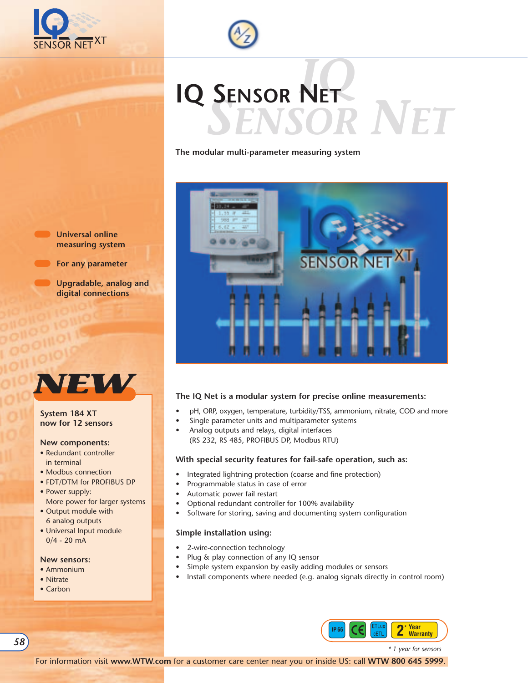



# SENSOR NET **IQ SENSOR NET**

## **The modular multi-parameter measuring system**



## **The IQ Net is a modular system for precise online measurements:**

- pH, ORP, oxygen, temperature, turbidity/TSS, ammonium, nitrate, COD and more
- Single parameter units and multiparameter systems
- Analog outputs and relays, digital interfaces (RS 232, RS 485, PROFIBUS DP, Modbus RTU)

### **With special security features for fail-safe operation, such as:**

- Integrated lightning protection (coarse and fine protection)
- Programmable status in case of error
- Automatic power fail restart
- Optional redundant controller for 100% availability
- Software for storing, saving and documenting system configuration

### **Simple installation using:**

- 2-wire-connection technology
- Plug & play connection of any IQ sensor
- Simple system expansion by easily adding modules or sensors
- Install components where needed (e.g. analog signals directly in control room)



*\* 1 year for sensors*

## **Universal online measuring system**

## **For any parameter**

**Upgradable, analog and digital connections**



## **System 184 XT now for 12 sensors**

### **New components:**

- Redundant controller in terminal
- Modbus connection
- FDT/DTM for PROFIBUS DP
- Power supply: More power for larger systems
- Output module with 6 analog outputs
- Universal Input module 0/4 - 20 mA

## **New sensors:**

- Ammonium
- Nitrate
- Carbon

*58*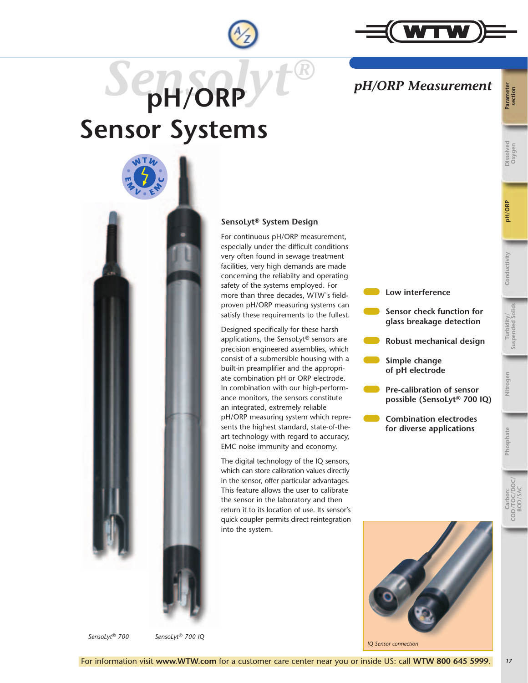

## *pH/ORP Measurement*

# *Sensolyt®* **pH/ORP Sensor Systems**



## **SensoLyt® System Design**

For continuous pH/ORP measurement, especially under the difficult conditions very often found in sewage treatment facilities, very high demands are made concerning the reliabilty and operating safety of the systems employed. For more than three decades, WTW`s fieldproven pH/ORP measuring systems can satisfy these requirements to the fullest.

Designed specifically for these harsh applications, the SensoLyt® sensors are precision engineered assemblies, which consist of a submersible housing with a built-in preamplifier and the appropriate combination pH or ORP electrode. In combination with our high-performance monitors, the sensors constitute an integrated, extremely reliable pH/ORP measuring system which represents the highest standard, state-of-theart technology with regard to accuracy, EMC noise immunity and economy.

The digital technology of the IQ sensors, which can store calibration values directly in the sensor, offer particular advantages. This feature allows the user to calibrate the sensor in the laboratory and then return it to its location of use. Its sensor's quick coupler permits direct reintegration into the system.

**Low interference Sensor check function for glass breakage detection Robust mechanical design Simple change of pH electrode Pre-calibration of sensor possible (SensoLyt® 700 IQ) Combination electrodes for diverse applications**



**Dissolved** 

**Parameter section**

**Phosphate**

**Carbon: COD/TOC/DOC/ BOD/SAC**

*SensoLyt® 700 SensoLyt® 700 IQ*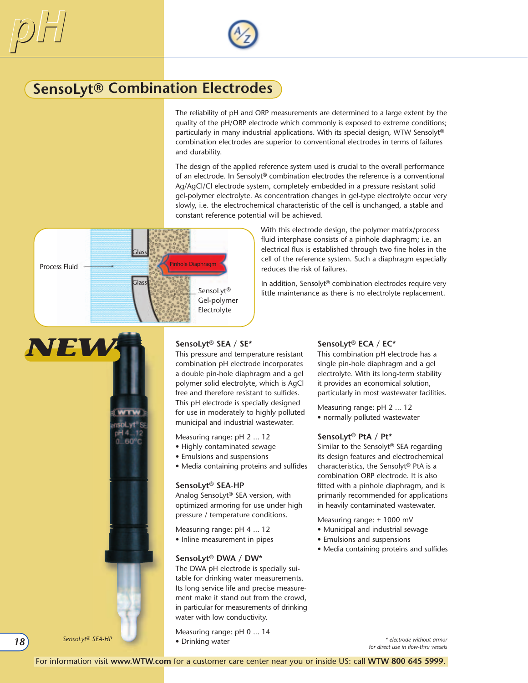

## **SensoLyt® Combination Electrodes**

The reliability of pH and ORP measurements are determined to a large extent by the quality of the pH/ORP electrode which commonly is exposed to extreme conditions; particularly in many industrial applications. With its special design, WTW Sensolyt® combination electrodes are superior to conventional electrodes in terms of failures and durability.

The design of the applied reference system used is crucial to the overall performance of an electrode. In Sensolyt® combination electrodes the reference is a conventional Ag/AgCl/Cl electrode system, completely embedded in a pressure resistant solid gel-polymer electrolyte. As concentration changes in gel-type electrolyte occur very slowly, i.e. the electrochemical characteristic of the cell is unchanged, a stable and constant reference potential will be achieved.



With this electrode design, the polymer matrix/process fluid interphase consists of a pinhole diaphragm; i.e. an electrical flux is established through two fine holes in the cell of the reference system. Such a diaphragm especially reduces the risk of failures.

In addition, Sensolyt® combination electrodes require very little maintenance as there is no electrolyte replacement.

## **SensoLyt® SEA / SE\***

This pressure and temperature resistant combination pH electrode incorporates a double pin-hole diaphragm and a gel polymer solid electrolyte, which is AgCl free and therefore resistant to sulfides. This pH electrode is specially designed for use in moderately to highly polluted municipal and industrial wastewater.

Measuring range: pH 2 ... 12

- Highly contaminated sewage
- Emulsions and suspensions
- Media containing proteins and sulfides

### **SensoLyt® SEA-HP**

Analog SensoLyt® SEA version, with optimized armoring for use under high pressure / temperature conditions.

Measuring range: pH 4 ... 12 • Inline measurement in pipes

## **SensoLyt® DWA / DW\***

The DWA pH electrode is specially suitable for drinking water measurements. Its long service life and precise measurement make it stand out from the crowd, in particular for measurements of drinking water with low conductivity.

Measuring range: pH 0 ... 14 • Drinking water

## **SensoLyt® ECA / EC\***

This combination pH electrode has a single pin-hole diaphragm and a gel electrolyte. With its long-term stability it provides an economical solution, particularly in most wastewater facilities.

Measuring range: pH 2 ... 12 • normally polluted wastewater

### **SensoLyt® PtA / Pt\***

Similar to the Sensolyt® SEA regarding its design features and electrochemical characteristics, the Sensolyt® PtA is a combination ORP electrode. It is also fitted with a pinhole diaphragm, and is primarily recommended for applications in heavily contaminated wastewater.

Measuring range: ± 1000 mV

- Municipal and industrial sewage
- Emulsions and suspensions
- Media containing proteins and sulfides

**BO** 

*SensoLyt® SEA-HP*

*\* electrode without armor for direct use in flow-thru vessels*

*18*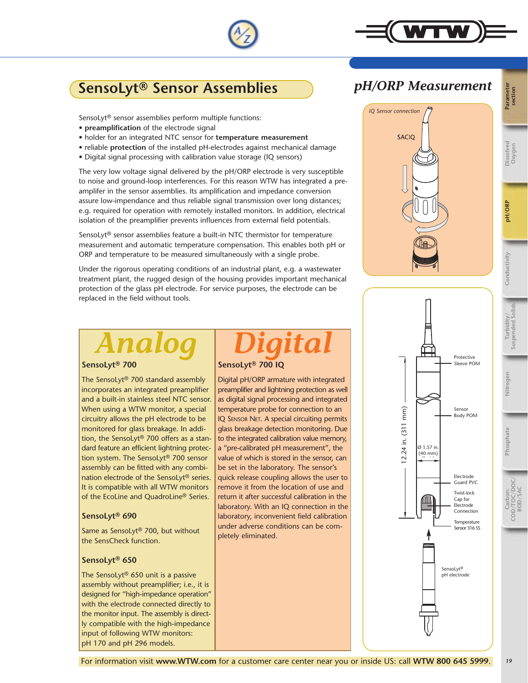

**Parameter section**

**Dissolved Oxygen**

**pH/ORP**

**Conductivity**

Conductivity

**Turbidity/ Suspended Solids**

Turbidity/<br>Suspended Solids

**Nitrogen**

**Phosphate**

**Carbon: COD/TOC/DOC/ BOD/SAC**

## **SensoLyt® Sensor Assemblies** *pH/ORP Measurement*

SensoLyt® sensor assemblies perform multiple functions:

- **preamplification** of the electrode signal
- holder for an integrated NTC sensor for **temperature measurement**
- reliable **protection** of the installed pH-electrodes against mechanical damage
- Digital signal processing with calibration value storage (IQ sensors)

The very low voltage signal delivered by the pH/ORP electrode is very susceptible to noise and ground-loop interferences. For this reason WTW has integrated a preamplifer in the sensor assemblies. Its amplification and impedance conversion assure low-impendance and thus reliable signal transmission over long distances; e.g. required for operation with remotely installed monitors. In addition, electrical isolation of the preamplifier prevents influences from external field potentials.

SensoLyt<sup>®</sup> sensor assemblies feature a built-in NTC thermistor for temperature measurement and automatic temperature compensation. This enables both pH or ORP and temperature to be measured simultaneously with a single probe.

Under the rigorous operating conditions of an industrial plant, e.g. a wastewater treatment plant, the rugged design of the housing provides important mechanical protection of the glass pH electrode. For service purposes, the electrode can be replaced in the field without tools.

## *Analog*

### **SensoLyt® 700**

The SensoLyt® 700 standard assembly incorporates an integrated preamplifier and a built-in stainless steel NTC sensor. When using a WTW monitor, a special circuitry allows the pH electrode to be monitored for glass breakage. In addition, the SensoLyt® 700 offers as a standard feature an efficient lightning protection system. The SensoLyt® 700 sensor assembly can be fitted with any combination electrode of the SensoLyt® series. It is compatible with all WTW monitors of the EcoLine and QuadroLine® Series.

### **SensoLyt® 690**

Same as SensoLyt® 700, but without the SensCheck function.

## **SensoLyt® 650**

The SensoLyt® 650 unit is a passive assembly without preamplifier; i.e., it is designed for "high-impedance operation" with the electrode connected directly to the monitor input. The assembly is directly compatible with the high-impedance input of following WTW monitors: pH 170 and pH 296 models.

# *Digital*

**SensoLyt® 700 IQ**

Digital pH/ORP armature with integrated preamplifier and lightning protection as well as digital signal processing and integrated temperature probe for connection to an IQ SENSOR NET. A special circuiting permits glass breakage detection monitoring. Due to the integrated calibration value memory, a "pre-calibrated pH measurement", the value of which is stored in the sensor, can be set in the laboratory. The sensor's quick release coupling allows the user to remove it from the location of use and return it after successful calibration in the laboratory. With an IQ connection in the laboratory, inconvenient field calibration under adverse conditions can be completely eliminated.



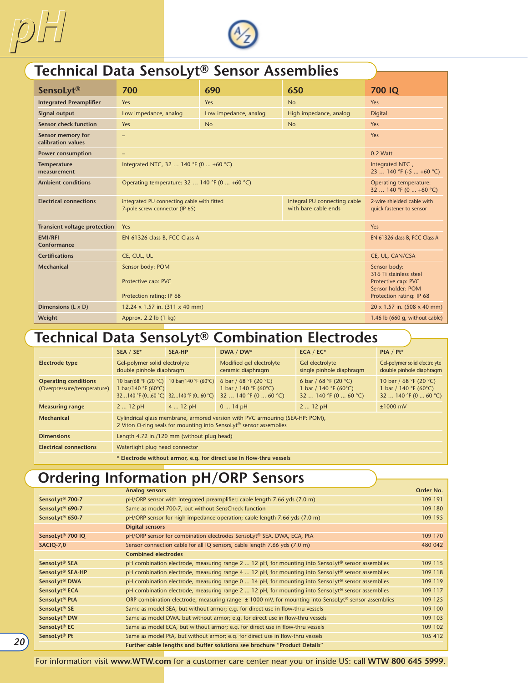![](_page_4_Picture_0.jpeg)

![](_page_4_Picture_1.jpeg)

## **Technical Data SensoLyt® Sensor Assemblies**

| SensoLyt <sup>®</sup>                   | 700                                                                          | 690                                        | 650                                                  | 700 IQ                                                                                                          |
|-----------------------------------------|------------------------------------------------------------------------------|--------------------------------------------|------------------------------------------------------|-----------------------------------------------------------------------------------------------------------------|
| <b>Integrated Preamplifier</b>          | Yes                                                                          | Yes                                        | <b>No</b>                                            | Yes                                                                                                             |
| Signal output                           | Low impedance, analog                                                        | Low impedance, analog                      | High impedance, analog                               | <b>Digital</b>                                                                                                  |
| <b>Sensor check function</b>            | Yes                                                                          | <b>No</b>                                  | <b>No</b>                                            | Yes                                                                                                             |
| Sensor memory for<br>calibration values |                                                                              | Yes                                        |                                                      |                                                                                                                 |
| <b>Power consumption</b>                | $\qquad \qquad -$                                                            | 0.2 Watt                                   |                                                      |                                                                                                                 |
| Temperature<br>measurement              | Integrated NTC, 32  140 °F (0  +60 °C)                                       | Integrated NTC,<br>23  140 °F (-5  +60 °C) |                                                      |                                                                                                                 |
| <b>Ambient conditions</b>               | Operating temperature: 32  140 °F (0  +60 °C)                                |                                            |                                                      | Operating temperature:<br>32  140 °F (0  +60 °C)                                                                |
| <b>Electrical connections</b>           | integrated PU connecting cable with fitted<br>7-pole screw connector (IP 65) |                                            | Integral PU connecting cable<br>with bare cable ends | 2-wire shielded cable with<br>quick fastener to sensor                                                          |
| Transient voltage protection            | Yes                                                                          |                                            |                                                      | Yes                                                                                                             |
| <b>EMI/RFI</b><br>Conformance           | EN 61326 class B, FCC Class A                                                |                                            |                                                      | EN 61326 class B, FCC Class A                                                                                   |
| <b>Certifications</b>                   | CE, CUL, UL                                                                  |                                            |                                                      | CE, UL, CAN/CSA                                                                                                 |
| Mechanical                              | Sensor body: POM<br>Protective cap: PVC<br>Protection rating: IP 68          |                                            |                                                      | Sensor body:<br>316 Ti stainless steel<br>Protective cap: PVC<br>Sensor holder: POM<br>Protection rating: IP 68 |
| Dimensions (L x D)                      | 12.24 x 1.57 in. (311 x 40 mm)                                               | 20 x 1.57 in. (508 x 40 mm)                |                                                      |                                                                                                                 |
| Weight                                  | Approx. 2.2 lb (1 kg)                                                        | 1.46 lb (660 g, without cable)             |                                                      |                                                                                                                 |

## **Technical Data SensoLyt® Combination Electrodes**

|                                                                     | $SEA / SE^*$                                                                                                                                                    | <b>SEA-HP</b> | DWA / DW*                                                               | $ECA / EC*$                                                             | PtA / Pt*                                                                |
|---------------------------------------------------------------------|-----------------------------------------------------------------------------------------------------------------------------------------------------------------|---------------|-------------------------------------------------------------------------|-------------------------------------------------------------------------|--------------------------------------------------------------------------|
| <b>Electrode type</b>                                               | Gel-polymer solid electrolyte<br>double pinhole diaphragm                                                                                                       |               | Modified gel electrolyte<br>ceramic diaphragm                           | Gel electrolyte<br>single pinhole diaphragm                             | Gel-polymer solid electrolyte<br>double pinhole diaphragm                |
| <b>Operating conditions</b><br>(Overpressure/temperature)           | 10 bar/68 °F (20 °C) 10 bar/140 °F (60 °C)<br>1 bar/140 °F (60°C)<br>32140 °F (060 °C) 32140 °F (060 °C)                                                        |               | 6 bar / 68 °F (20 °C)<br>1 bar / 140 °F (60°C)<br>32  140 °F (0  60 °C) | 6 bar / 68 °F (20 °C)<br>1 bar / 140 °F (60°C)<br>32  140 °F (0  60 °C) | 10 bar / 68 °F (20 °C)<br>1 bar / 140 °F (60°C)<br>32  140 °F (0  60 °C) |
| <b>Measuring range</b>                                              | $212$ pH                                                                                                                                                        | 4  12 pH      | $014$ pH                                                                | 2  12 pH                                                                | $±1000$ mV                                                               |
| <b>Mechanical</b>                                                   | Cylindrical glass membrane, armored version with PVC armouring (SEA-HP: POM),<br>2 Viton O-ring seals for mounting into Sensolyt <sup>®</sup> sensor assemblies |               |                                                                         |                                                                         |                                                                          |
| <b>Dimensions</b>                                                   | Length 4.72 in./120 mm (without plug head)                                                                                                                      |               |                                                                         |                                                                         |                                                                          |
| <b>Electrical connections</b>                                       | Watertight plug head connector                                                                                                                                  |               |                                                                         |                                                                         |                                                                          |
| * Electrode without armor, e.g. for direct use in flow-thru vessels |                                                                                                                                                                 |               |                                                                         |                                                                         |                                                                          |

## **Ordering Information pH/ORP Sensors**

|                              | <b>Analog sensors</b>                                                                                                | Order No. |
|------------------------------|----------------------------------------------------------------------------------------------------------------------|-----------|
| SensoLyt <sup>®</sup> 700-7  | pH/ORP sensor with integrated preamplifier; cable length 7.66 yds (7.0 m)                                            | 109 191   |
| SensoLyt <sup>®</sup> 690-7  | Same as model 700-7, but without SensCheck function                                                                  | 109 180   |
| SensoLyt® 650-7              | pH/ORP sensor for high impedance operation; cable length 7.66 yds (7.0 m)                                            |           |
|                              | <b>Digital sensors</b>                                                                                               |           |
| SensoLyt <sup>®</sup> 700 IQ | pH/ORP sensor for combination electrodes SensoLyt <sup>®</sup> SEA, DWA, ECA, PtA                                    | 109 170   |
| <b>SACIQ-7,0</b>             | Sensor connection cable for all IQ sensors, cable length 7.66 yds (7.0 m)                                            | 480 042   |
|                              | <b>Combined electrodes</b>                                                                                           |           |
| SensoLyt <sup>®</sup> SEA    | pH combination electrode, measuring range 2  12 pH, for mounting into Sensolyt <sup>®</sup> sensor assemblies        | 109 115   |
| SensoLyt <sup>®</sup> SEA-HP | pH combination electrode, measuring range 4  12 pH, for mounting into SensoLyt <sup>®</sup> sensor assemblies        | 109 118   |
| SensoLyt <sup>®</sup> DWA    | pH combination electrode, measuring range $0 \dots 14$ pH, for mounting into Sensolyt <sup>®</sup> sensor assemblies | 109 119   |
| SensoLyt <sup>®</sup> ECA    | pH combination electrode, measuring range $2 \dots 12$ pH, for mounting into SensoLyt® sensor assemblies             | 109 117   |
| SensoLyt <sup>®</sup> PtA    | ORP combination electrode, measuring range $\pm$ 1000 mV, for mounting into Sensolyt <sup>®</sup> sensor assemblies  | 109 125   |
| SensoLyt <sup>®</sup> SE     | Same as model SEA, but without armor; e.g. for direct use in flow-thru vessels                                       | 109 100   |
| SensoLyt <sup>®</sup> DW     | Same as model DWA, but without armor; e.g. for direct use in flow-thru vessels                                       | 109 103   |
| SensoLyt <sup>®</sup> EC     | Same as model ECA, but without armor; e.g. for direct use in flow-thru vessels                                       | 109 102   |
| SensoLyt <sup>®</sup> Pt     | Same as model PtA, but without armor; e.g. for direct use in flow-thru vessels                                       | 105 412   |
|                              | Further cable lengths and buffer solutions see brochure "Product Details"                                            |           |

For information visit **www.WTW.com** for a customer care center near you or inside US: call **WTW 800 645 5999**.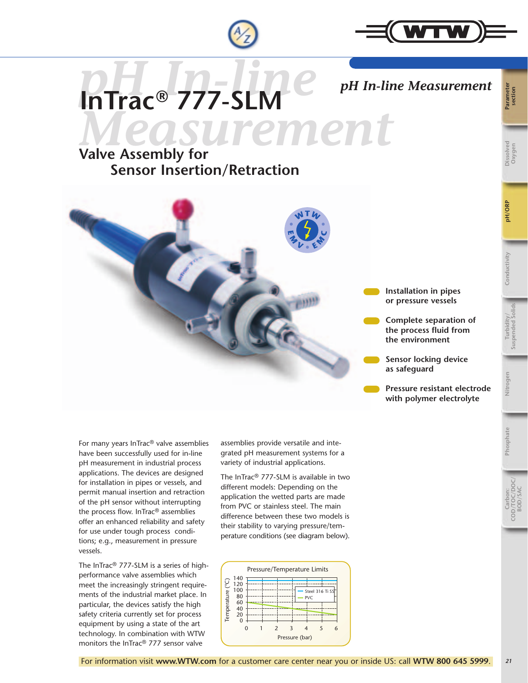![](_page_5_Picture_0.jpeg)

![](_page_5_Picture_1.jpeg)

**Carbon: COD/TOC/DOC/ BOD/SAC**

![](_page_5_Picture_2.jpeg)

For many years InTrac® valve assemblies have been successfully used for in-line pH measurement in industrial process applications. The devices are designed for installation in pipes or vessels, and permit manual insertion and retraction of the pH sensor without interrupting the process flow. InTrac® assemblies offer an enhanced reliability and safety for use under tough process conditions; e.g., measurement in pressure vessels.

The InTrac® 777-SLM is a series of highperformance valve assemblies which meet the increasingly stringent requirements of the industrial market place. In particular, the devices satisfy the high safety criteria currently set for process equipment by using a state of the art technology. In combination with WTW monitors the InTrac® 777 sensor valve

assemblies provide versatile and integrated pH measurement systems for a variety of industrial applications.

The InTrac® 777-SLM is available in two different models: Depending on the application the wetted parts are made from PVC or stainless steel. The main difference between these two models is their stability to varying pressure/temperature conditions (see diagram below).

![](_page_5_Figure_7.jpeg)

For information visit **www.WTW.com** for a customer care center near you or inside US: call **WTW 800 645 5999**. *<sup>21</sup>*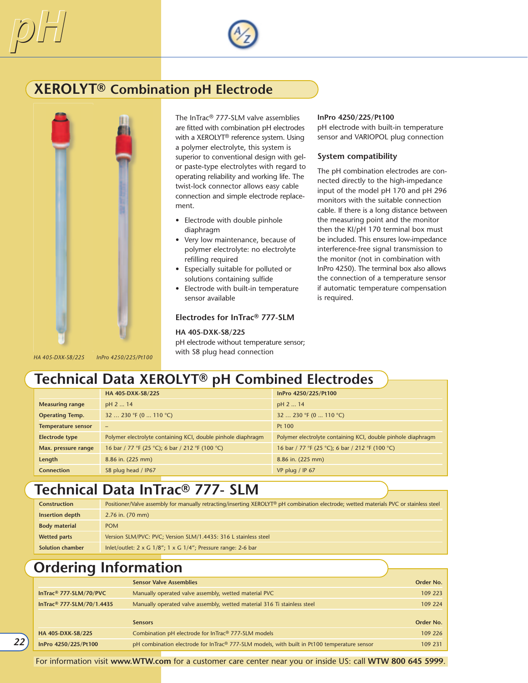![](_page_6_Picture_1.jpeg)

## **XEROLYT® Combination pH Electrode**

![](_page_6_Picture_3.jpeg)

The InTrac® 777-SLM valve assemblies are fitted with combination pH electrodes with a XEROLYT® reference system. Using a polymer electrolyte, this system is superior to conventional design with gelor paste-type electrolytes with regard to operating reliability and working life. The twist-lock connector allows easy cable connection and simple electrode replacement.

- Electrode with double pinhole diaphragm
- Very low maintenance, because of polymer electrolyte: no electrolyte refilling required
- Especially suitable for polluted or solutions containing sulfide
- Electrode with built-in temperature sensor available

## **Electrodes for InTrac® 777-SLM**

## **HA 405-DXK-S8/225**

pH electrode without temperature sensor; with S8 plug head connection

### **InPro 4250/225/Pt100**

pH electrode with built-in temperature sensor and VARIOPOL plug connection

### **System compatibility**

The pH combination electrodes are connected directly to the high-impedance input of the model pH 170 and pH 296 monitors with the suitable connection cable. If there is a long distance between the measuring point and the monitor then the KI/pH 170 terminal box must be included. This ensures low-impedance interference-free signal transmission to the monitor (not in combination with InPro 4250). The terminal box also allows the connection of a temperature sensor if automatic temperature compensation is required.

*HA 405-DXK-S8/225 InPro 4250/225/Pt100*

## **Technical Data XEROLYT® pH Combined Electrodes**

|                        | HA 405-DXK-S8/225                                            | InPro 4250/225/Pt100                                         |
|------------------------|--------------------------------------------------------------|--------------------------------------------------------------|
| <b>Measuring range</b> | pH 2  14                                                     | pH 2  14                                                     |
| <b>Operating Temp.</b> | 32  230 °F (0  110 °C)                                       | 32  230 °F (0  110 °C)                                       |
| Temperature sensor     | $\qquad \qquad -$                                            | Pt 100                                                       |
| <b>Electrode type</b>  | Polymer electrolyte containing KCI, double pinhole diaphragm | Polymer electrolyte containing KCI, double pinhole diaphragm |
| Max. pressure range    | 16 bar / 77 °F (25 °C); 6 bar / 212 °F (100 °C)              | 16 bar / 77 °F (25 °C); 6 bar / 212 °F (100 °C)              |
| Length                 | 8.86 in. (225 mm)                                            | 8.86 in. (225 mm)                                            |
| Connection             | S8 plug head / IP67                                          | VP plug / IP $67$                                            |

## **Technical Data InTrac® 777- SLM**

| <b>Construction</b>     | Positioner/Valve assembly for manually retracting/inserting XEROLYT <sup>®</sup> pH combination electrode; wetted materials PVC or stainless steel |
|-------------------------|----------------------------------------------------------------------------------------------------------------------------------------------------|
| Insertion depth         | $2.76$ in. (70 mm)                                                                                                                                 |
| <b>Body material</b>    | <b>POM</b>                                                                                                                                         |
| Wetted parts            | Version SLM/PVC: PVC; Version SLM/1.4435: 316 L stainless steel                                                                                    |
| <b>Solution chamber</b> | Inlet/outlet: $2 \times G$ 1/8"; $1 \times G$ 1/4"; Pressure range: 2-6 bar                                                                        |

## **Ordering Information**

|                                                                                                       | <b>Sensor Valve Assemblies</b>                                                              | Order No. |
|-------------------------------------------------------------------------------------------------------|---------------------------------------------------------------------------------------------|-----------|
| InTrac <sup>®</sup> 777-SLM/70/PVC                                                                    | Manually operated valve assembly, wetted material PVC                                       | 109 223   |
| InTrac® 777-SLM/70/1.4435<br>Manually operated valve assembly, wetted material 316 Ti stainless steel |                                                                                             | 109 224   |
|                                                                                                       |                                                                                             |           |
|                                                                                                       | <b>Sensors</b>                                                                              | Order No. |
| HA 405-DXK-S8/225                                                                                     | Combination pH electrode for InTrac® 777-SLM models                                         | 109 226   |
| InPro 4250/225/Pt100                                                                                  | pH combination electrode for InTrac® 777-SLM models, with built in Pt100 temperature sensor | 109 231   |

For information visit **www.WTW.com** for a customer care center near you or inside US: call **WTW 800 645 5999**.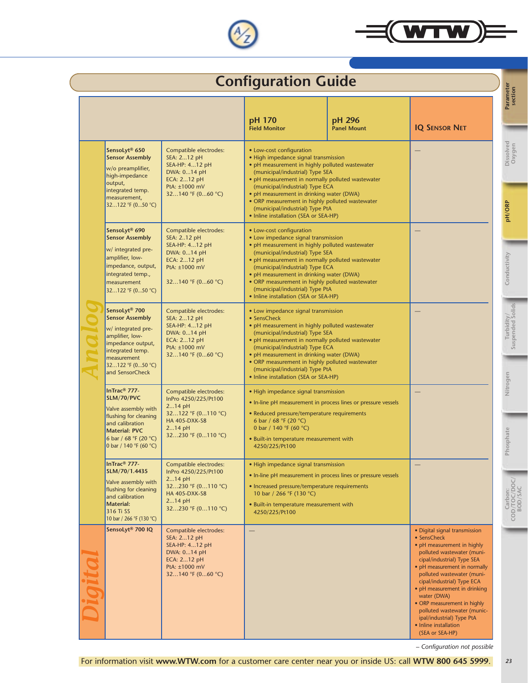![](_page_7_Picture_0.jpeg)

![](_page_7_Picture_1.jpeg)

## **Configuration Guide**

|  | Conniguration Guide                                                                                                                                                       |                                                                                                                                 |                                                                                                                                                                                                                                                                                                                                                                                                                        |                              |                                                                                                                                                                                                                                                                                                                                                                                                                          |                                    |
|--|---------------------------------------------------------------------------------------------------------------------------------------------------------------------------|---------------------------------------------------------------------------------------------------------------------------------|------------------------------------------------------------------------------------------------------------------------------------------------------------------------------------------------------------------------------------------------------------------------------------------------------------------------------------------------------------------------------------------------------------------------|------------------------------|--------------------------------------------------------------------------------------------------------------------------------------------------------------------------------------------------------------------------------------------------------------------------------------------------------------------------------------------------------------------------------------------------------------------------|------------------------------------|
|  |                                                                                                                                                                           |                                                                                                                                 | pH 170<br><b>Field Monitor</b>                                                                                                                                                                                                                                                                                                                                                                                         | pH 296<br><b>Panel Mount</b> | <b>IQ SENSOR NET</b>                                                                                                                                                                                                                                                                                                                                                                                                     | Parameter<br>section               |
|  | SensoLyt <sup>®</sup> 650<br><b>Sensor Assembly</b><br>w/o preamplifier,<br>high-impedance<br>output,                                                                     | Compatible electrodes:<br>SEA: 212 pH<br>SEA-HP: 412 pH<br>DWA: 014 pH<br>ECA: 212 pH                                           | • Low-cost configuration<br>• High impedance signal transmission<br>• pH measurement in highly polluted wastewater<br>(municipal/industrial) Type SEA<br>• pH measurement in normally polluted wastewater                                                                                                                                                                                                              |                              |                                                                                                                                                                                                                                                                                                                                                                                                                          | Dissolved<br>Oxygen                |
|  | integrated temp.<br>measurement,<br>32122 °F (050 °C)                                                                                                                     | PtA: ±1000 mV<br>32140 °F (060 °C)                                                                                              | (municipal/industrial) Type ECA<br>• pH measurement in drinking water (DWA)<br>• ORP measurement in highly polluted wastewater<br>(municipal/industrial) Type PtA<br>• Inline installation (SEA or SEA-HP)                                                                                                                                                                                                             |                              | pH/ORP                                                                                                                                                                                                                                                                                                                                                                                                                   |                                    |
|  | SensoLyt <sup>®</sup> 690<br><b>Sensor Assembly</b><br>w/ integrated pre-<br>amplifier, low-                                                                              | Compatible electrodes:<br>SEA: 212 pH<br>SEA-HP: 412 pH<br>DWA: 014 pH<br>ECA: 212 pH                                           | • Low-cost configuration<br>• Low impedance signal transmission<br>• pH measurement in highly polluted wastewater<br>(municipal/industrial) Type SEA<br>• pH measurement in normally polluted wastewater<br>(municipal/industrial) Type ECA<br>• pH measurement in drinking water (DWA)<br>• ORP measurement in highly polluted wastewater<br>(municipal/industrial) Type PtA<br>• Inline installation (SEA or SEA-HP) |                              |                                                                                                                                                                                                                                                                                                                                                                                                                          |                                    |
|  | impedance, output,<br>integrated temp.,<br>measurement<br>32122 °F (050 °C)                                                                                               | PtA: ±1000 mV<br>32140 °F (060 °C)                                                                                              |                                                                                                                                                                                                                                                                                                                                                                                                                        |                              |                                                                                                                                                                                                                                                                                                                                                                                                                          | Conductivity                       |
|  | SensoLyt <sup>®</sup> 700<br><b>Sensor Assembly</b><br>w/ integrated pre-<br>amplifier, low-<br>impedance output,<br>integrated temp.<br>measurement                      | Compatible electrodes:<br>SEA: 212 pH<br>SEA-HP: 412 pH<br>DWA: 014 pH<br>ECA: 212 pH<br>PtA: ±1000 mV<br>32140 °F (060 °C)     | • Low impedance signal transmission<br>• SensCheck<br>• pH measurement in highly polluted wastewater<br>(municipal/industrial) Type SEA<br>• pH measurement in normally polluted wastewater<br>(municipal/industrial) Type ECA<br>• pH measurement in drinking water (DWA)<br>• ORP measurement in highly polluted wastewater                                                                                          |                              |                                                                                                                                                                                                                                                                                                                                                                                                                          | Turbidity/<br>Suspended Solids     |
|  | 32122 °F (050 °C)<br>and SensorCheck<br>InTrac <sup>®</sup> 777-<br>SLM/70/PVC                                                                                            | Compatible electrodes:<br>InPro 4250/225/Pt100                                                                                  | (municipal/industrial) Type PtA<br>• Inline installation (SEA or SEA-HP)<br>• High impedance signal transmission                                                                                                                                                                                                                                                                                                       |                              |                                                                                                                                                                                                                                                                                                                                                                                                                          | Nitrogen                           |
|  | Valve assembly with<br>flushing for cleaning<br>and calibration<br><b>Material: PVC</b><br>6 bar / 68 °F (20 °C)<br>0 bar / 140 °F (60 °C)                                | $214$ pH<br>32122 °F (0110 °C)<br><b>HA 405-DXK-S8</b><br>$214$ pH<br>32230 °F (0110 °C)                                        | • In-line pH measurement in process lines or pressure vessels<br>• Reduced pressure/temperature requirements<br>6 bar / 68 °F (20 °C)<br>0 bar / 140 °F (60 °C)<br>• Built-in temperature measurement with<br>4250/225/Pt100                                                                                                                                                                                           |                              |                                                                                                                                                                                                                                                                                                                                                                                                                          | Phosphate                          |
|  | InTrac <sup>®</sup> 777-<br>SLM/70/1.4435<br>Valve assembly with<br>flushing for cleaning<br>and calibration<br><b>Material:</b><br>316 Ti SS<br>10 bar / 266 °F (130 °C) | Compatible electrodes:<br>InPro 4250/225/Pt100<br>214 pH<br>32230 °F (0110 °C)<br>HA 405-DXK-S8<br>214 pH<br>32230 °F (0110 °C) | • High impedance signal transmission<br>• In-line pH measurement in process lines or pressure vessels<br>• Increased pressure/temperature requirements<br>10 bar / 266 °F (130 °C)<br>• Built-in temperature measurement with<br>4250/225/Pt100                                                                                                                                                                        |                              |                                                                                                                                                                                                                                                                                                                                                                                                                          | Carbon:<br>COD/TOC/DOC/<br>BOD/SAC |
|  | SensoLyt <sup>®</sup> 700 IQ                                                                                                                                              | Compatible electrodes:<br>SEA: 212 pH<br>SEA-HP: 412 pH<br>DWA: 014 pH<br>ECA: 212 pH<br>PtA: ±1000 mV<br>32140 °F (060 °C)     |                                                                                                                                                                                                                                                                                                                                                                                                                        |                              | · Digital signal transmission<br>• SensCheck<br>• pH measurement in highly<br>polluted wastewater (muni-<br>cipal/industrial) Type SEA<br>• pH measurement in normally<br>polluted wastewater (muni-<br>cipal/industrial) Type ECA<br>• pH measurement in drinking<br>water (DWA)<br>• ORP measurement in highly<br>polluted wastewater (munic-<br>ipal/industrial) Type PtA<br>• Inline installation<br>(SEA or SEA-HP) |                                    |

*– Configuration not possible*